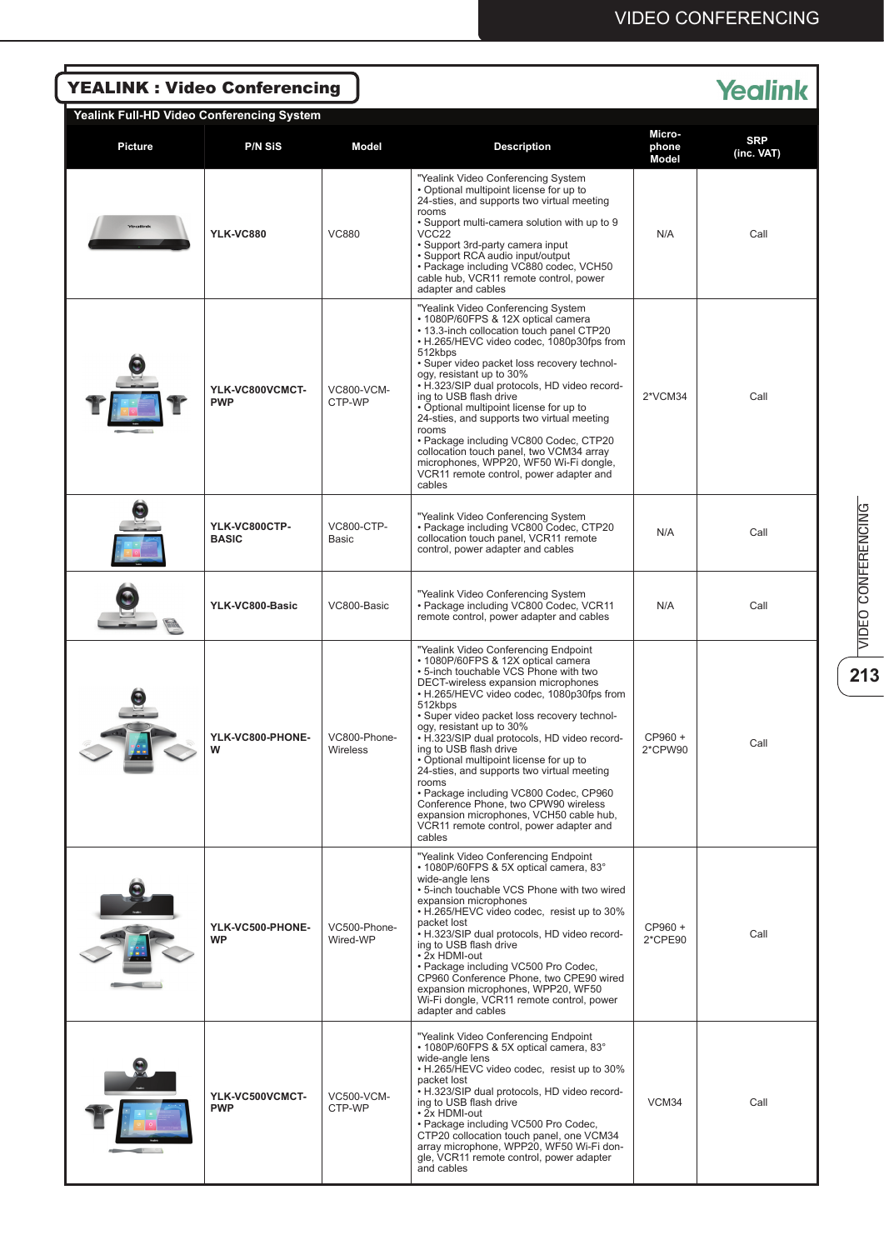| <b>Yealink</b><br><b>YEALINK: Video Conferencing</b> |                               |                             |                                                                                                                                                                                                                                                                                                                                                                                                                                                                                                                                                                                                                                                             |                          |                          |  |  |  |  |
|------------------------------------------------------|-------------------------------|-----------------------------|-------------------------------------------------------------------------------------------------------------------------------------------------------------------------------------------------------------------------------------------------------------------------------------------------------------------------------------------------------------------------------------------------------------------------------------------------------------------------------------------------------------------------------------------------------------------------------------------------------------------------------------------------------------|--------------------------|--------------------------|--|--|--|--|
| Yealink Full-HD Video Conferencing System            |                               |                             |                                                                                                                                                                                                                                                                                                                                                                                                                                                                                                                                                                                                                                                             |                          |                          |  |  |  |  |
| <b>Picture</b>                                       | <b>P/N SIS</b>                | Model                       | <b>Description</b>                                                                                                                                                                                                                                                                                                                                                                                                                                                                                                                                                                                                                                          | Micro-<br>phone<br>Model | <b>SRP</b><br>(inc. VAT) |  |  |  |  |
|                                                      | <b>YLK-VC880</b>              | <b>VC880</b>                | "Yealink Video Conferencing System<br>• Optional multipoint license for up to<br>24-sties, and supports two virtual meeting<br>rooms<br>. Support multi-camera solution with up to 9<br>VCC22<br>• Support 3rd-party camera input<br>· Support RCA audio input/output<br>· Package including VC880 codec, VCH50<br>cable hub, VCR11 remote control, power<br>adapter and cables                                                                                                                                                                                                                                                                             | N/A                      | Call                     |  |  |  |  |
|                                                      | YLK-VC800VCMCT-<br><b>PWP</b> | <b>VC800-VCM-</b><br>CTP-WP | "Yealink Video Conferencing System<br>• 1080P/60FPS & 12X optical camera<br>. 13.3-inch collocation touch panel CTP20<br>• H.265/HEVC video codec, 1080p30fps from<br>512kbps<br>• Super video packet loss recovery technol-<br>ogy, resistant up to 30%<br>• H.323/SIP dual protocols, HD video record-<br>ing to USB flash drive<br>• Optional multipoint license for up to<br>24-sties, and supports two virtual meeting<br>rooms<br>· Package including VC800 Codec, CTP20<br>collocation touch panel, two VCM34 array<br>microphones, WPP20, WF50 Wi-Fi dongle,<br>VCR11 remote control, power adapter and<br>cables                                   | 2*VCM34                  | Call                     |  |  |  |  |
|                                                      | YLK-VC800CTP-<br><b>BASIC</b> | <b>VC800-CTP-</b><br>Basic  | "Yealink Video Conferencing System<br>• Package including VC800 Codec, CTP20<br>collocation touch panel, VCR11 remote<br>control, power adapter and cables                                                                                                                                                                                                                                                                                                                                                                                                                                                                                                  | N/A                      | Call                     |  |  |  |  |
|                                                      | YLK-VC800-Basic               | VC800-Basic                 | "Yealink Video Conferencing System<br>• Package including VC800 Codec, VCR11<br>remote control, power adapter and cables                                                                                                                                                                                                                                                                                                                                                                                                                                                                                                                                    | N/A                      | Call                     |  |  |  |  |
|                                                      | YLK-VC800-PHONE-<br>w         | VC800-Phone-<br>Wireless    | "Yealink Video Conferencing Endpoint<br>• 1080P/60FPS & 12X optical camera<br>. 5-inch touchable VCS Phone with two<br>DECT-wireless expansion microphones<br>• H.265/HEVC video codec, 1080p30fps from<br>512kbps<br>· Super video packet loss recovery technol-<br>ogy, resistant up to 30%<br>• H.323/SIP dual protocols, HD video record-<br>ing to USB flash drive<br>• Optional multipoint license for up to<br>24-sties, and supports two virtual meeting<br>rooms<br>• Package including VC800 Codec, CP960<br>Conference Phone. two CPW90 wireless<br>expansion microphones, VCH50 cable hub,<br>VCR11 remote control, power adapter and<br>cables | CP960 +<br>2*CPW90       | Call                     |  |  |  |  |
|                                                      | YLK-VC500-PHONE-<br><b>WP</b> | VC500-Phone-<br>Wired-WP    | "Yealink Video Conferencing Endpoint<br>• 1080P/60FPS & 5X optical camera, 83°<br>wide-angle lens<br>• 5-inch touchable VCS Phone with two wired<br>expansion microphones<br>• H.265/HEVC video codec, resist up to 30%<br>packet lost<br>• H.323/SIP dual protocols, HD video record-<br>ing to USB flash drive<br>• 2x HDMI-out<br>• Package including VC500 Pro Codec,<br>CP960 Conference Phone, two CPE90 wired<br>expansion microphones, WPP20, WF50<br>Wi-Fi dongle, VCR11 remote control, power<br>adapter and cables                                                                                                                               | CP960 +<br>2*CPE90       | Call                     |  |  |  |  |
|                                                      | YLK-VC500VCMCT-<br><b>PWP</b> | <b>VC500-VCM-</b><br>CTP-WP | "Yealink Video Conferencing Endpoint<br>• 1080P/60FPS & 5X optical camera, 83°<br>wide-angle lens<br>• H.265/HEVC video codec, resist up to 30%<br>packet lost<br>• H.323/SIP dual protocols, HD video record-<br>ing to USB flash drive<br>• 2x HDMI-out<br>· Package including VC500 Pro Codec,<br>CTP20 collocation touch panel, one VCM34<br>array microphone, WPP20, WF50 Wi-Fi don-<br>gle, VCR11 remote control, power adapter<br>and cables                                                                                                                                                                                                         | VCM34                    | Call                     |  |  |  |  |